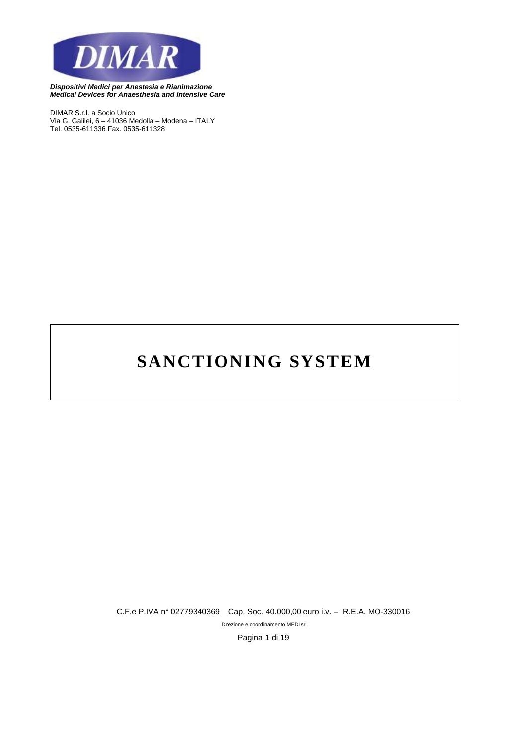

*DIMAR S.r.l. a Socio Unico Via G. Galilei, 6 – 41036 Medolla – Modena – ITALY Tel. 0535-611336 Fax. 0535-611328*

# **SANCTIONING SYSTEM**

*C.F.e P.IVA n° 02779340369 Cap. Soc. 40.000,00 euro i.v. – R.E.A. MO-330016 Direzione e coordinamento MEDI srl*

*Pagina 1 di 19*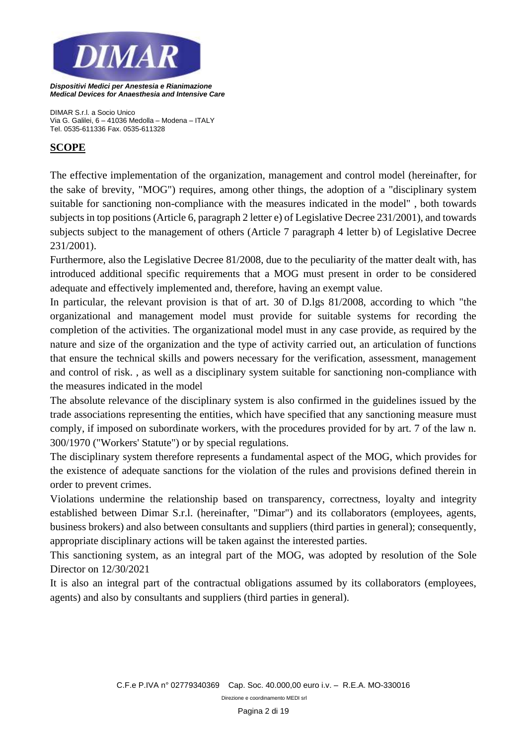

*DIMAR S.r.l. a Socio Unico Via G. Galilei, 6 – 41036 Medolla – Modena – ITALY Tel. 0535-611336 Fax. 0535-611328*

## **SCOPE**

The effective implementation of the organization, management and control model (hereinafter, for the sake of brevity, "MOG") requires, among other things, the adoption of a "disciplinary system suitable for sanctioning non-compliance with the measures indicated in the model" , both towards subjects in top positions (Article 6, paragraph 2 letter e) of Legislative Decree 231/2001), and towards subjects subject to the management of others (Article 7 paragraph 4 letter b) of Legislative Decree 231/2001).

Furthermore, also the Legislative Decree 81/2008, due to the peculiarity of the matter dealt with, has introduced additional specific requirements that a MOG must present in order to be considered adequate and effectively implemented and, therefore, having an exempt value.

In particular, the relevant provision is that of art. 30 of D.lgs 81/2008, according to which "the organizational and management model must provide for suitable systems for recording the completion of the activities. The organizational model must in any case provide, as required by the nature and size of the organization and the type of activity carried out, an articulation of functions that ensure the technical skills and powers necessary for the verification, assessment, management and control of risk. , as well as a disciplinary system suitable for sanctioning non-compliance with the measures indicated in the model

The absolute relevance of the disciplinary system is also confirmed in the guidelines issued by the trade associations representing the entities, which have specified that any sanctioning measure must comply, if imposed on subordinate workers, with the procedures provided for by art. 7 of the law n. 300/1970 ("Workers' Statute") or by special regulations.

The disciplinary system therefore represents a fundamental aspect of the MOG, which provides for the existence of adequate sanctions for the violation of the rules and provisions defined therein in order to prevent crimes.

Violations undermine the relationship based on transparency, correctness, loyalty and integrity established between Dimar S.r.l. (hereinafter, "Dimar") and its collaborators (employees, agents, business brokers) and also between consultants and suppliers (third parties in general); consequently, appropriate disciplinary actions will be taken against the interested parties.

This sanctioning system, as an integral part of the MOG, was adopted by resolution of the Sole Director on 12/30/2021

It is also an integral part of the contractual obligations assumed by its collaborators (employees, agents) and also by consultants and suppliers (third parties in general).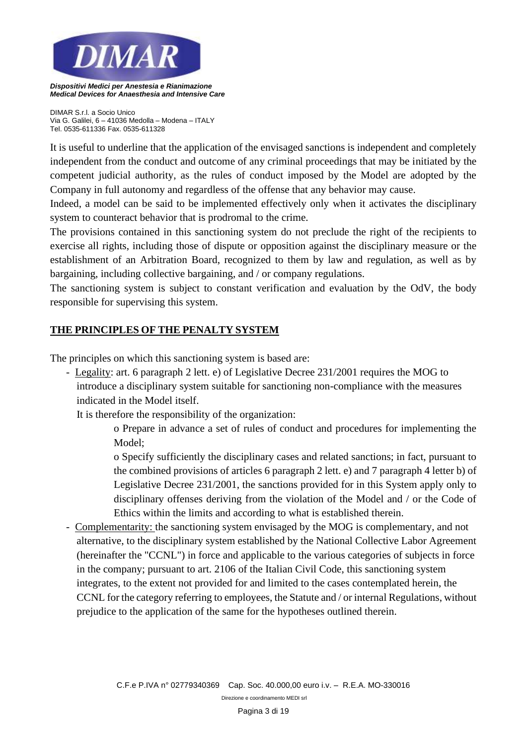

*DIMAR S.r.l. a Socio Unico Via G. Galilei, 6 – 41036 Medolla – Modena – ITALY Tel. 0535-611336 Fax. 0535-611328*

It is useful to underline that the application of the envisaged sanctions is independent and completely independent from the conduct and outcome of any criminal proceedings that may be initiated by the competent judicial authority, as the rules of conduct imposed by the Model are adopted by the Company in full autonomy and regardless of the offense that any behavior may cause.

Indeed, a model can be said to be implemented effectively only when it activates the disciplinary system to counteract behavior that is prodromal to the crime.

The provisions contained in this sanctioning system do not preclude the right of the recipients to exercise all rights, including those of dispute or opposition against the disciplinary measure or the establishment of an Arbitration Board, recognized to them by law and regulation, as well as by bargaining, including collective bargaining, and / or company regulations.

The sanctioning system is subject to constant verification and evaluation by the OdV, the body responsible for supervising this system.

#### **THE PRINCIPLES OF THE PENALTY SYSTEM**

The principles on which this sanctioning system is based are:

- Legality: art. 6 paragraph 2 lett. e) of Legislative Decree 231/2001 requires the MOG to introduce a disciplinary system suitable for sanctioning non-compliance with the measures indicated in the Model itself.

It is therefore the responsibility of the organization:

o Prepare in advance a set of rules of conduct and procedures for implementing the Model;

o Specify sufficiently the disciplinary cases and related sanctions; in fact, pursuant to the combined provisions of articles 6 paragraph 2 lett. e) and 7 paragraph 4 letter b) of Legislative Decree 231/2001, the sanctions provided for in this System apply only to disciplinary offenses deriving from the violation of the Model and / or the Code of Ethics within the limits and according to what is established therein.

- Complementarity: the sanctioning system envisaged by the MOG is complementary, and not alternative, to the disciplinary system established by the National Collective Labor Agreement (hereinafter the "CCNL") in force and applicable to the various categories of subjects in force in the company; pursuant to art. 2106 of the Italian Civil Code, this sanctioning system integrates, to the extent not provided for and limited to the cases contemplated herein, the CCNL for the category referring to employees, the Statute and / or internal Regulations, without prejudice to the application of the same for the hypotheses outlined therein.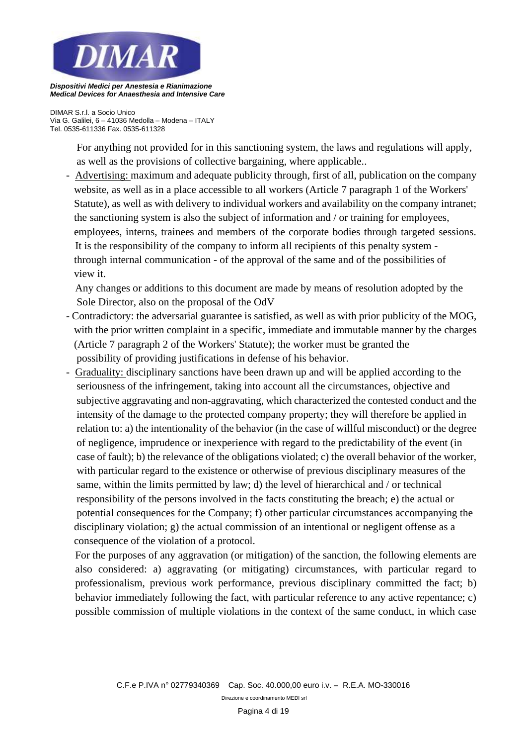

*DIMAR S.r.l. a Socio Unico Via G. Galilei, 6 – 41036 Medolla – Modena – ITALY Tel. 0535-611336 Fax. 0535-611328*

> For anything not provided for in this sanctioning system, the laws and regulations will apply, as well as the provisions of collective bargaining, where applicable..

- Advertising: maximum and adequate publicity through, first of all, publication on the company website, as well as in a place accessible to all workers (Article 7 paragraph 1 of the Workers' Statute), as well as with delivery to individual workers and availability on the company intranet; the sanctioning system is also the subject of information and / or training for employees, employees, interns, trainees and members of the corporate bodies through targeted sessions. It is the responsibility of the company to inform all recipients of this penalty system through internal communication - of the approval of the same and of the possibilities of view it.

Any changes or additions to this document are made by means of resolution adopted by the Sole Director, also on the proposal of the OdV

- Contradictory: the adversarial guarantee is satisfied, as well as with prior publicity of the MOG, with the prior written complaint in a specific, immediate and immutable manner by the charges (Article 7 paragraph 2 of the Workers' Statute); the worker must be granted the possibility of providing justifications in defense of his behavior.
- Graduality: disciplinary sanctions have been drawn up and will be applied according to the seriousness of the infringement, taking into account all the circumstances, objective and subjective aggravating and non-aggravating, which characterized the contested conduct and the intensity of the damage to the protected company property; they will therefore be applied in relation to: a) the intentionality of the behavior (in the case of willful misconduct) or the degree of negligence, imprudence or inexperience with regard to the predictability of the event (in case of fault); b) the relevance of the obligations violated; c) the overall behavior of the worker, with particular regard to the existence or otherwise of previous disciplinary measures of the same, within the limits permitted by law; d) the level of hierarchical and / or technical responsibility of the persons involved in the facts constituting the breach; e) the actual or potential consequences for the Company; f) other particular circumstances accompanying the disciplinary violation; g) the actual commission of an intentional or negligent offense as a consequence of the violation of a protocol.

For the purposes of any aggravation (or mitigation) of the sanction, the following elements are also considered: a) aggravating (or mitigating) circumstances, with particular regard to professionalism, previous work performance, previous disciplinary committed the fact; b) behavior immediately following the fact, with particular reference to any active repentance; c) possible commission of multiple violations in the context of the same conduct, in which case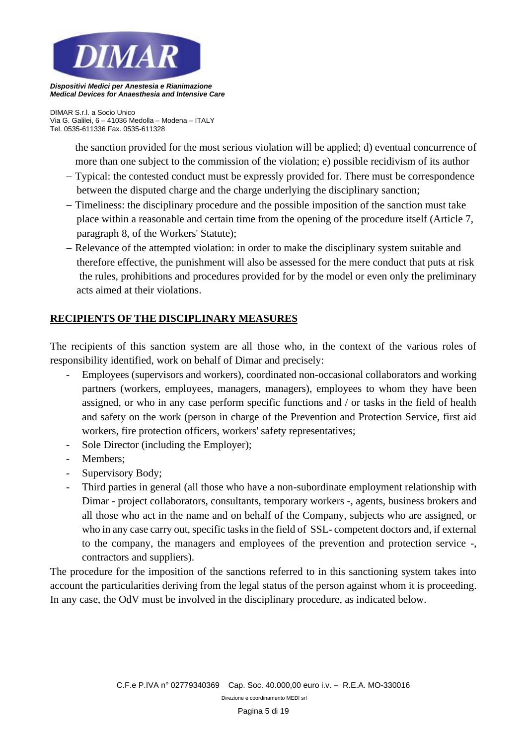

*DIMAR S.r.l. a Socio Unico Via G. Galilei, 6 – 41036 Medolla – Modena – ITALY Tel. 0535-611336 Fax. 0535-611328*

> the sanction provided for the most serious violation will be applied; d) eventual concurrence of more than one subject to the commission of the violation; e) possible recidivism of its author

- − Typical: the contested conduct must be expressly provided for. There must be correspondence between the disputed charge and the charge underlying the disciplinary sanction;
- − Timeliness: the disciplinary procedure and the possible imposition of the sanction must take place within a reasonable and certain time from the opening of the procedure itself (Article 7, paragraph 8, of the Workers' Statute);
- − Relevance of the attempted violation: in order to make the disciplinary system suitable and therefore effective, the punishment will also be assessed for the mere conduct that puts at risk the rules, prohibitions and procedures provided for by the model or even only the preliminary acts aimed at their violations.

#### **RECIPIENTS OF THE DISCIPLINARY MEASURES**

The recipients of this sanction system are all those who, in the context of the various roles of responsibility identified, work on behalf of Dimar and precisely:

- Employees (supervisors and workers), coordinated non-occasional collaborators and working partners (workers, employees, managers, managers), employees to whom they have been assigned, or who in any case perform specific functions and / or tasks in the field of health and safety on the work (person in charge of the Prevention and Protection Service, first aid workers, fire protection officers, workers' safety representatives;
- Sole Director (including the Employer);
- Members;
- Supervisory Body;
- Third parties in general (all those who have a non-subordinate employment relationship with Dimar - project collaborators, consultants, temporary workers -, agents, business brokers and all those who act in the name and on behalf of the Company, subjects who are assigned, or who in any case carry out, specific tasks in the field of SSL- competent doctors and, if external to the company, the managers and employees of the prevention and protection service -, contractors and suppliers).

The procedure for the imposition of the sanctions referred to in this sanctioning system takes into account the particularities deriving from the legal status of the person against whom it is proceeding. In any case, the OdV must be involved in the disciplinary procedure, as indicated below.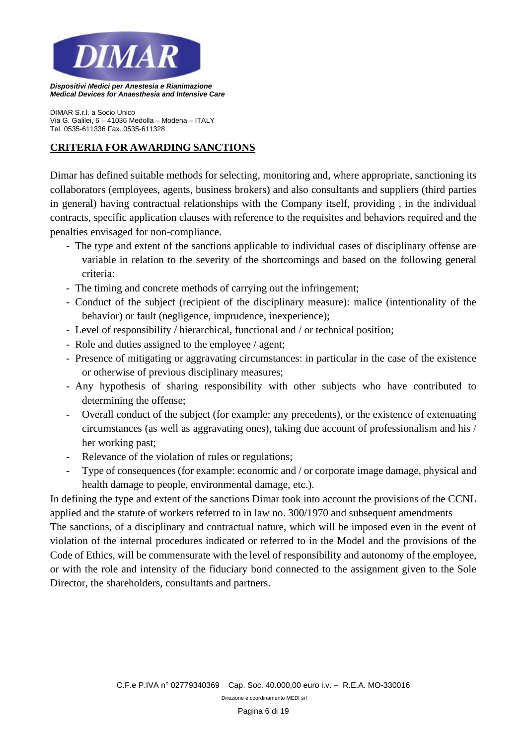

*DIMAR S.r.l. a Socio Unico Via G. Galilei, 6 – 41036 Medolla – Modena – ITALY Tel. 0535-611336 Fax. 0535-611328*

## **CRITERIA FOR AWARDING SANCTIONS**

Dimar has defined suitable methods for selecting, monitoring and, where appropriate, sanctioning its collaborators (employees, agents, business brokers) and also consultants and suppliers (third parties in general) having contractual relationships with the Company itself, providing , in the individual contracts, specific application clauses with reference to the requisites and behaviors required and the penalties envisaged for non-compliance.

- The type and extent of the sanctions applicable to individual cases of disciplinary offense are variable in relation to the severity of the shortcomings and based on the following general criteria:
- The timing and concrete methods of carrying out the infringement;
- Conduct of the subject (recipient of the disciplinary measure): malice (intentionality of the behavior) or fault (negligence, imprudence, inexperience);
- Level of responsibility / hierarchical, functional and / or technical position;
- Role and duties assigned to the employee / agent;
- Presence of mitigating or aggravating circumstances: in particular in the case of the existence or otherwise of previous disciplinary measures;
- Any hypothesis of sharing responsibility with other subjects who have contributed to determining the offense;
- Overall conduct of the subject (for example: any precedents), or the existence of extenuating circumstances (as well as aggravating ones), taking due account of professionalism and his / her working past;
- Relevance of the violation of rules or regulations;
- Type of consequences (for example: economic and / or corporate image damage, physical and health damage to people, environmental damage, etc.).

In defining the type and extent of the sanctions Dimar took into account the provisions of the CCNL applied and the statute of workers referred to in law no. 300/1970 and subsequent amendments The sanctions, of a disciplinary and contractual nature, which will be imposed even in the event of violation of the internal procedures indicated or referred to in the Model and the provisions of the Code of Ethics, will be commensurate with the level of responsibility and autonomy of the employee, or with the role and intensity of the fiduciary bond connected to the assignment given to the Sole Director, the shareholders, consultants and partners.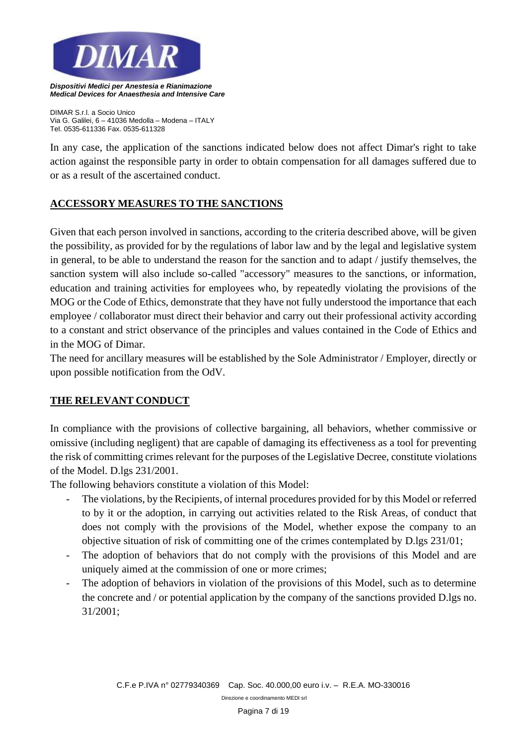

*DIMAR S.r.l. a Socio Unico Via G. Galilei, 6 – 41036 Medolla – Modena – ITALY Tel. 0535-611336 Fax. 0535-611328*

In any case, the application of the sanctions indicated below does not affect Dimar's right to take action against the responsible party in order to obtain compensation for all damages suffered due to or as a result of the ascertained conduct.

#### **ACCESSORY MEASURES TO THE SANCTIONS**

Given that each person involved in sanctions, according to the criteria described above, will be given the possibility, as provided for by the regulations of labor law and by the legal and legislative system in general, to be able to understand the reason for the sanction and to adapt / justify themselves, the sanction system will also include so-called "accessory" measures to the sanctions, or information, education and training activities for employees who, by repeatedly violating the provisions of the MOG or the Code of Ethics, demonstrate that they have not fully understood the importance that each employee / collaborator must direct their behavior and carry out their professional activity according to a constant and strict observance of the principles and values contained in the Code of Ethics and in the MOG of Dimar.

The need for ancillary measures will be established by the Sole Administrator / Employer, directly or upon possible notification from the OdV.

#### **THE RELEVANT CONDUCT**

In compliance with the provisions of collective bargaining, all behaviors, whether commissive or omissive (including negligent) that are capable of damaging its effectiveness as a tool for preventing the risk of committing crimes relevant for the purposes of the Legislative Decree, constitute violations of the Model. D.lgs 231/2001.

The following behaviors constitute a violation of this Model:

- The violations, by the Recipients, of internal procedures provided for by this Model or referred to by it or the adoption, in carrying out activities related to the Risk Areas, of conduct that does not comply with the provisions of the Model, whether expose the company to an objective situation of risk of committing one of the crimes contemplated by D.lgs 231/01;
- The adoption of behaviors that do not comply with the provisions of this Model and are uniquely aimed at the commission of one or more crimes;
- The adoption of behaviors in violation of the provisions of this Model, such as to determine the concrete and / or potential application by the company of the sanctions provided D.lgs no. 31/2001;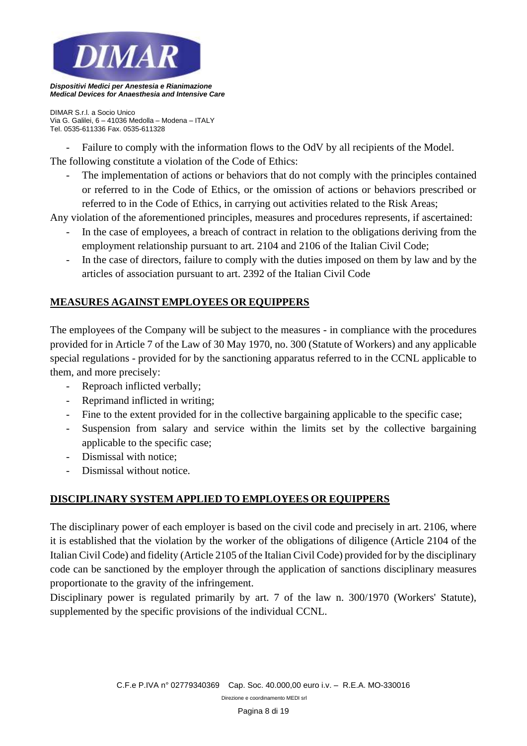

*DIMAR S.r.l. a Socio Unico Via G. Galilei, 6 – 41036 Medolla – Modena – ITALY Tel. 0535-611336 Fax. 0535-611328*

Failure to comply with the information flows to the OdV by all recipients of the Model.

The following constitute a violation of the Code of Ethics:

The implementation of actions or behaviors that do not comply with the principles contained or referred to in the Code of Ethics, or the omission of actions or behaviors prescribed or referred to in the Code of Ethics, in carrying out activities related to the Risk Areas;

Any violation of the aforementioned principles, measures and procedures represents, if ascertained:

- In the case of employees, a breach of contract in relation to the obligations deriving from the employment relationship pursuant to art. 2104 and 2106 of the Italian Civil Code;
- In the case of directors, failure to comply with the duties imposed on them by law and by the articles of association pursuant to art. 2392 of the Italian Civil Code

# **MEASURES AGAINST EMPLOYEES OR EQUIPPERS**

The employees of the Company will be subject to the measures - in compliance with the procedures provided for in Article 7 of the Law of 30 May 1970, no. 300 (Statute of Workers) and any applicable special regulations - provided for by the sanctioning apparatus referred to in the CCNL applicable to them, and more precisely:

- Reproach inflicted verbally;
- Reprimand inflicted in writing;
- Fine to the extent provided for in the collective bargaining applicable to the specific case;
- Suspension from salary and service within the limits set by the collective bargaining applicable to the specific case;
- Dismissal with notice:
- Dismissal without notice.

# **DISCIPLINARY SYSTEM APPLIED TO EMPLOYEES OR EQUIPPERS**

The disciplinary power of each employer is based on the civil code and precisely in art. 2106, where it is established that the violation by the worker of the obligations of diligence (Article 2104 of the Italian Civil Code) and fidelity (Article 2105 of the Italian Civil Code) provided for by the disciplinary code can be sanctioned by the employer through the application of sanctions disciplinary measures proportionate to the gravity of the infringement.

Disciplinary power is regulated primarily by art. 7 of the law n. 300/1970 (Workers' Statute), supplemented by the specific provisions of the individual CCNL.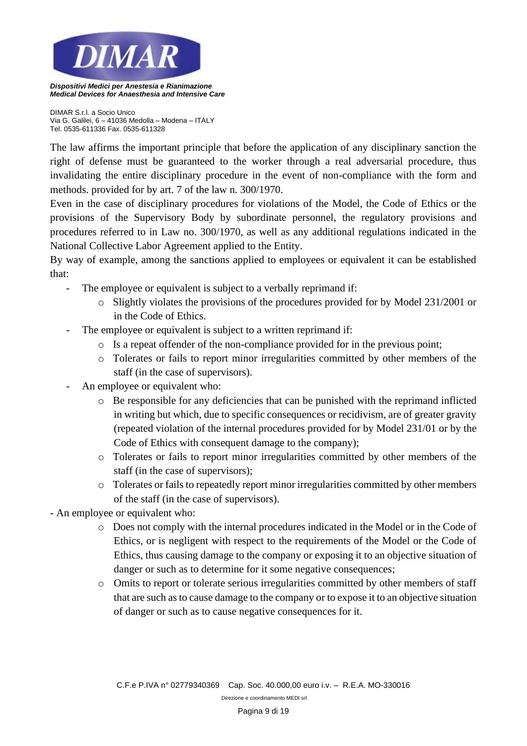

*DIMAR S.r.l. a Socio Unico Via G. Galilei, 6 – 41036 Medolla – Modena – ITALY Tel. 0535-611336 Fax. 0535-611328*

The law affirms the important principle that before the application of any disciplinary sanction the right of defense must be guaranteed to the worker through a real adversarial procedure, thus invalidating the entire disciplinary procedure in the event of non-compliance with the form and methods. provided for by art. 7 of the law n. 300/1970.

Even in the case of disciplinary procedures for violations of the Model, the Code of Ethics or the provisions of the Supervisory Body by subordinate personnel, the regulatory provisions and procedures referred to in Law no. 300/1970, as well as any additional regulations indicated in the National Collective Labor Agreement applied to the Entity.

By way of example, among the sanctions applied to employees or equivalent it can be established that:

- The employee or equivalent is subject to a verbally reprimand if:
	- o Slightly violates the provisions of the procedures provided for by Model 231/2001 or in the Code of Ethics.
- The employee or equivalent is subject to a written reprimand if:
	- o Is a repeat offender of the non-compliance provided for in the previous point;
	- o Tolerates or fails to report minor irregularities committed by other members of the staff (in the case of supervisors).
- An employee or equivalent who:
	- o Be responsible for any deficiencies that can be punished with the reprimand inflicted in writing but which, due to specific consequences or recidivism, are of greater gravity (repeated violation of the internal procedures provided for by Model 231/01 or by the Code of Ethics with consequent damage to the company);
	- o Tolerates or fails to report minor irregularities committed by other members of the staff (in the case of supervisors);
	- o Tolerates or fails to repeatedly report minor irregularities committed by other members of the staff (in the case of supervisors).

- An employee or equivalent who:

- o Does not comply with the internal procedures indicated in the Model or in the Code of Ethics, or is negligent with respect to the requirements of the Model or the Code of Ethics, thus causing damage to the company or exposing it to an objective situation of danger or such as to determine for it some negative consequences;
- o Omits to report or tolerate serious irregularities committed by other members of staff that are such as to cause damage to the company or to expose it to an objective situation of danger or such as to cause negative consequences for it.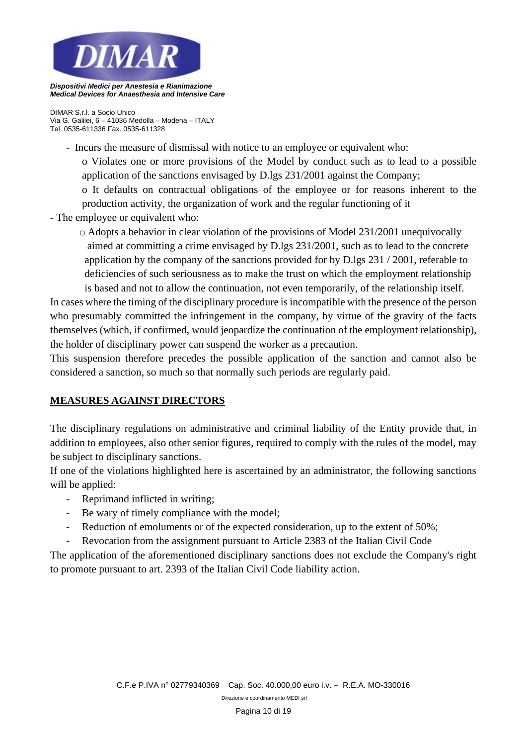

*DIMAR S.r.l. a Socio Unico Via G. Galilei, 6 – 41036 Medolla – Modena – ITALY Tel. 0535-611336 Fax. 0535-611328*

- Incurs the measure of dismissal with notice to an employee or equivalent who:

o Violates one or more provisions of the Model by conduct such as to lead to a possible application of the sanctions envisaged by D.lgs 231/2001 against the Company;

o It defaults on contractual obligations of the employee or for reasons inherent to the production activity, the organization of work and the regular functioning of it

- The employee or equivalent who:

o Adopts a behavior in clear violation of the provisions of Model 231/2001 unequivocally aimed at committing a crime envisaged by D.lgs 231/2001, such as to lead to the concrete application by the company of the sanctions provided for by D.lgs 231 / 2001, referable to deficiencies of such seriousness as to make the trust on which the employment relationship is based and not to allow the continuation, not even temporarily, of the relationship itself.

In cases where the timing of the disciplinary procedure is incompatible with the presence of the person who presumably committed the infringement in the company, by virtue of the gravity of the facts themselves (which, if confirmed, would jeopardize the continuation of the employment relationship), the holder of disciplinary power can suspend the worker as a precaution.

This suspension therefore precedes the possible application of the sanction and cannot also be considered a sanction, so much so that normally such periods are regularly paid.

#### **MEASURES AGAINST DIRECTORS**

The disciplinary regulations on administrative and criminal liability of the Entity provide that, in addition to employees, also other senior figures, required to comply with the rules of the model, may be subject to disciplinary sanctions.

If one of the violations highlighted here is ascertained by an administrator, the following sanctions will be applied:

- Reprimand inflicted in writing;
- Be wary of timely compliance with the model;
- Reduction of emoluments or of the expected consideration, up to the extent of 50%;
- Revocation from the assignment pursuant to Article 2383 of the Italian Civil Code

The application of the aforementioned disciplinary sanctions does not exclude the Company's right to promote pursuant to art. 2393 of the Italian Civil Code liability action.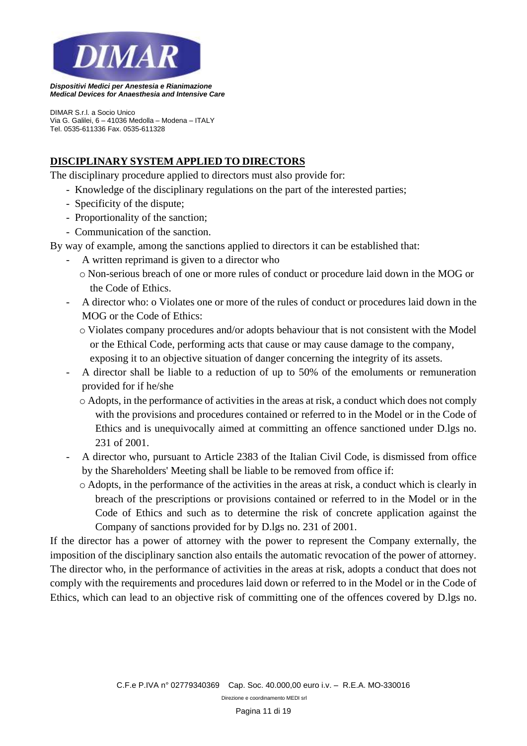

*DIMAR S.r.l. a Socio Unico Via G. Galilei, 6 – 41036 Medolla – Modena – ITALY Tel. 0535-611336 Fax. 0535-611328*

#### **DISCIPLINARY SYSTEM APPLIED TO DIRECTORS**

The disciplinary procedure applied to directors must also provide for:

- Knowledge of the disciplinary regulations on the part of the interested parties;
- Specificity of the dispute;
- Proportionality of the sanction;
- Communication of the sanction.

By way of example, among the sanctions applied to directors it can be established that:

- A written reprimand is given to a director who
	- o Non-serious breach of one or more rules of conduct or procedure laid down in the MOG or the Code of Ethics.
- A director who: o Violates one or more of the rules of conduct or procedures laid down in the MOG or the Code of Ethics:
	- o Violates company procedures and/or adopts behaviour that is not consistent with the Model or the Ethical Code, performing acts that cause or may cause damage to the company, exposing it to an objective situation of danger concerning the integrity of its assets.
- A director shall be liable to a reduction of up to 50% of the emoluments or remuneration provided for if he/she
	- o Adopts, in the performance of activities in the areas at risk, a conduct which does not comply with the provisions and procedures contained or referred to in the Model or in the Code of Ethics and is unequivocally aimed at committing an offence sanctioned under D.lgs no. 231 of 2001.
- A director who, pursuant to Article 2383 of the Italian Civil Code, is dismissed from office by the Shareholders' Meeting shall be liable to be removed from office if:
	- o Adopts, in the performance of the activities in the areas at risk, a conduct which is clearly in breach of the prescriptions or provisions contained or referred to in the Model or in the Code of Ethics and such as to determine the risk of concrete application against the Company of sanctions provided for by D.lgs no. 231 of 2001.

If the director has a power of attorney with the power to represent the Company externally, the imposition of the disciplinary sanction also entails the automatic revocation of the power of attorney. The director who, in the performance of activities in the areas at risk, adopts a conduct that does not comply with the requirements and procedures laid down or referred to in the Model or in the Code of Ethics, which can lead to an objective risk of committing one of the offences covered by D.lgs no.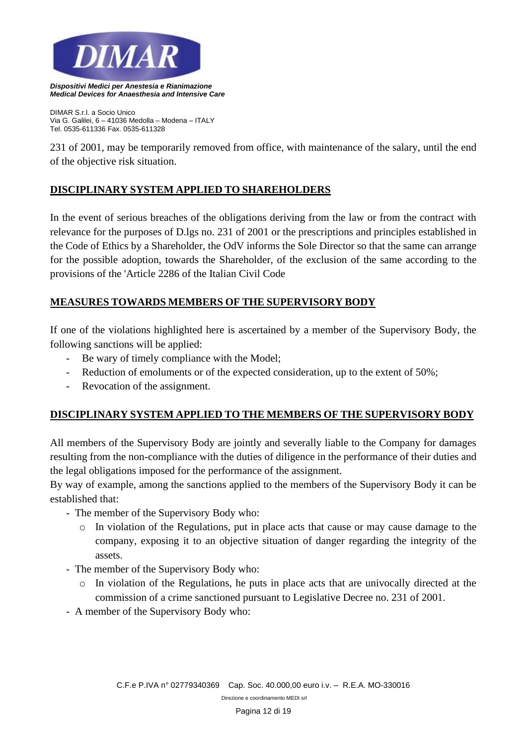

*DIMAR S.r.l. a Socio Unico Via G. Galilei, 6 – 41036 Medolla – Modena – ITALY Tel. 0535-611336 Fax. 0535-611328*

231 of 2001, may be temporarily removed from office, with maintenance of the salary, until the end of the objective risk situation.

## **DISCIPLINARY SYSTEM APPLIED TO SHAREHOLDERS**

In the event of serious breaches of the obligations deriving from the law or from the contract with relevance for the purposes of D.lgs no. 231 of 2001 or the prescriptions and principles established in the Code of Ethics by a Shareholder, the OdV informs the Sole Director so that the same can arrange for the possible adoption, towards the Shareholder, of the exclusion of the same according to the provisions of the 'Article 2286 of the Italian Civil Code

#### **MEASURES TOWARDS MEMBERS OF THE SUPERVISORY BODY**

If one of the violations highlighted here is ascertained by a member of the Supervisory Body, the following sanctions will be applied:

- Be wary of timely compliance with the Model;
- Reduction of emoluments or of the expected consideration, up to the extent of 50%;
- Revocation of the assignment.

# **DISCIPLINARY SYSTEM APPLIED TO THE MEMBERS OF THE SUPERVISORY BODY**

All members of the Supervisory Body are jointly and severally liable to the Company for damages resulting from the non-compliance with the duties of diligence in the performance of their duties and the legal obligations imposed for the performance of the assignment.

By way of example, among the sanctions applied to the members of the Supervisory Body it can be established that:

- The member of the Supervisory Body who:
	- o In violation of the Regulations, put in place acts that cause or may cause damage to the company, exposing it to an objective situation of danger regarding the integrity of the assets.
- The member of the Supervisory Body who:
	- o In violation of the Regulations, he puts in place acts that are univocally directed at the commission of a crime sanctioned pursuant to Legislative Decree no. 231 of 2001.
- A member of the Supervisory Body who: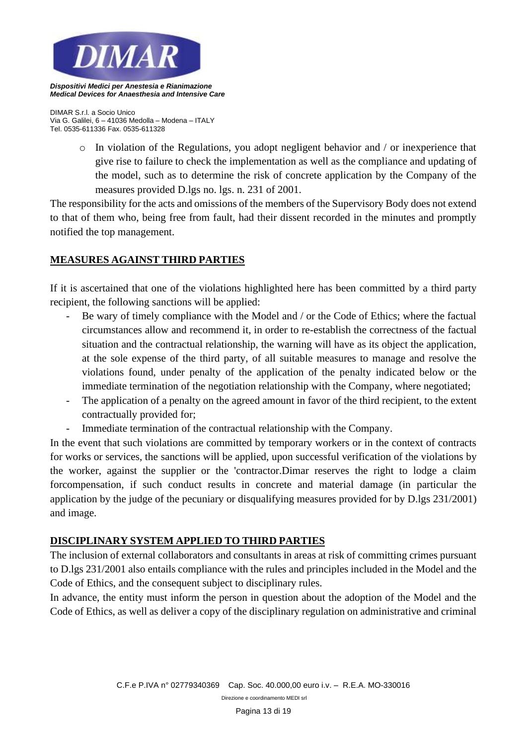

*DIMAR S.r.l. a Socio Unico Via G. Galilei, 6 – 41036 Medolla – Modena – ITALY Tel. 0535-611336 Fax. 0535-611328*

> o In violation of the Regulations, you adopt negligent behavior and / or inexperience that give rise to failure to check the implementation as well as the compliance and updating of the model, such as to determine the risk of concrete application by the Company of the measures provided D.lgs no. lgs. n. 231 of 2001.

The responsibility for the acts and omissions of the members of the Supervisory Body does not extend to that of them who, being free from fault, had their dissent recorded in the minutes and promptly notified the top management.

## **MEASURES AGAINST THIRD PARTIES**

If it is ascertained that one of the violations highlighted here has been committed by a third party recipient, the following sanctions will be applied:

- Be wary of timely compliance with the Model and / or the Code of Ethics; where the factual circumstances allow and recommend it, in order to re-establish the correctness of the factual situation and the contractual relationship, the warning will have as its object the application, at the sole expense of the third party, of all suitable measures to manage and resolve the violations found, under penalty of the application of the penalty indicated below or the immediate termination of the negotiation relationship with the Company, where negotiated;
- The application of a penalty on the agreed amount in favor of the third recipient, to the extent contractually provided for;
- Immediate termination of the contractual relationship with the Company.

In the event that such violations are committed by temporary workers or in the context of contracts for works or services, the sanctions will be applied, upon successful verification of the violations by the worker, against the supplier or the 'contractor.Dimar reserves the right to lodge a claim forcompensation, if such conduct results in concrete and material damage (in particular the application by the judge of the pecuniary or disqualifying measures provided for by D.lgs 231/2001) and image.

#### **DISCIPLINARY SYSTEM APPLIED TO THIRD PARTIES**

The inclusion of external collaborators and consultants in areas at risk of committing crimes pursuant to D.lgs 231/2001 also entails compliance with the rules and principles included in the Model and the Code of Ethics, and the consequent subject to disciplinary rules.

In advance, the entity must inform the person in question about the adoption of the Model and the Code of Ethics, as well as deliver a copy of the disciplinary regulation on administrative and criminal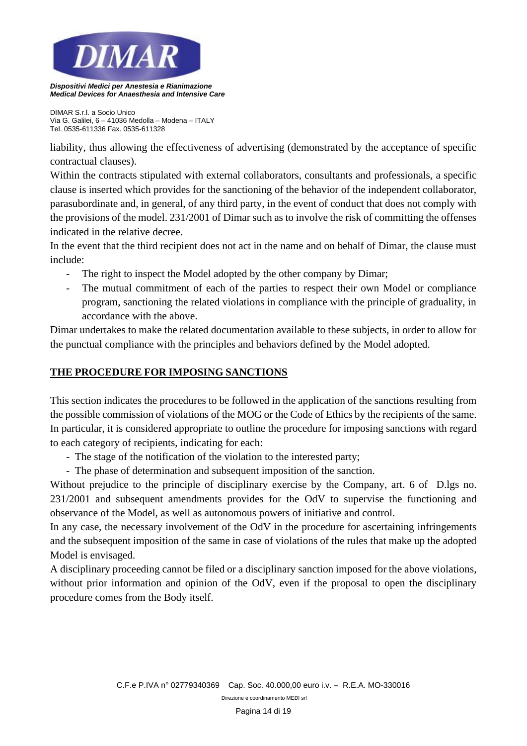

*DIMAR S.r.l. a Socio Unico Via G. Galilei, 6 – 41036 Medolla – Modena – ITALY Tel. 0535-611336 Fax. 0535-611328*

liability, thus allowing the effectiveness of advertising (demonstrated by the acceptance of specific contractual clauses).

Within the contracts stipulated with external collaborators, consultants and professionals, a specific clause is inserted which provides for the sanctioning of the behavior of the independent collaborator, parasubordinate and, in general, of any third party, in the event of conduct that does not comply with the provisions of the model. 231/2001 of Dimar such as to involve the risk of committing the offenses indicated in the relative decree.

In the event that the third recipient does not act in the name and on behalf of Dimar, the clause must include:

- The right to inspect the Model adopted by the other company by Dimar;
- The mutual commitment of each of the parties to respect their own Model or compliance program, sanctioning the related violations in compliance with the principle of graduality, in accordance with the above.

Dimar undertakes to make the related documentation available to these subjects, in order to allow for the punctual compliance with the principles and behaviors defined by the Model adopted.

#### **THE PROCEDURE FOR IMPOSING SANCTIONS**

This section indicates the procedures to be followed in the application of the sanctions resulting from the possible commission of violations of the MOG or the Code of Ethics by the recipients of the same. In particular, it is considered appropriate to outline the procedure for imposing sanctions with regard to each category of recipients, indicating for each:

- The stage of the notification of the violation to the interested party;
- The phase of determination and subsequent imposition of the sanction.

Without prejudice to the principle of disciplinary exercise by the Company, art. 6 of D.lgs no. 231/2001 and subsequent amendments provides for the OdV to supervise the functioning and observance of the Model, as well as autonomous powers of initiative and control.

In any case, the necessary involvement of the OdV in the procedure for ascertaining infringements and the subsequent imposition of the same in case of violations of the rules that make up the adopted Model is envisaged.

A disciplinary proceeding cannot be filed or a disciplinary sanction imposed for the above violations, without prior information and opinion of the OdV, even if the proposal to open the disciplinary procedure comes from the Body itself.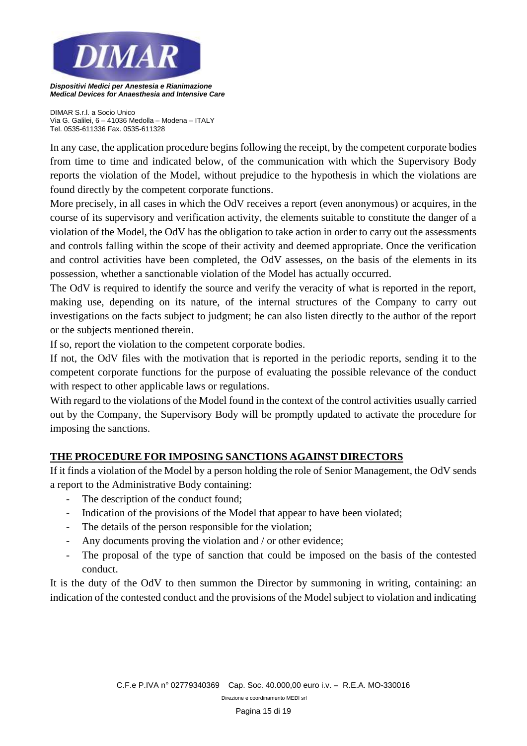

*DIMAR S.r.l. a Socio Unico Via G. Galilei, 6 – 41036 Medolla – Modena – ITALY Tel. 0535-611336 Fax. 0535-611328*

In any case, the application procedure begins following the receipt, by the competent corporate bodies from time to time and indicated below, of the communication with which the Supervisory Body reports the violation of the Model, without prejudice to the hypothesis in which the violations are found directly by the competent corporate functions.

More precisely, in all cases in which the OdV receives a report (even anonymous) or acquires, in the course of its supervisory and verification activity, the elements suitable to constitute the danger of a violation of the Model, the OdV has the obligation to take action in order to carry out the assessments and controls falling within the scope of their activity and deemed appropriate. Once the verification and control activities have been completed, the OdV assesses, on the basis of the elements in its possession, whether a sanctionable violation of the Model has actually occurred.

The OdV is required to identify the source and verify the veracity of what is reported in the report, making use, depending on its nature, of the internal structures of the Company to carry out investigations on the facts subject to judgment; he can also listen directly to the author of the report or the subjects mentioned therein.

If so, report the violation to the competent corporate bodies.

If not, the OdV files with the motivation that is reported in the periodic reports, sending it to the competent corporate functions for the purpose of evaluating the possible relevance of the conduct with respect to other applicable laws or regulations.

With regard to the violations of the Model found in the context of the control activities usually carried out by the Company, the Supervisory Body will be promptly updated to activate the procedure for imposing the sanctions.

#### **THE PROCEDURE FOR IMPOSING SANCTIONS AGAINST DIRECTORS**

If it finds a violation of the Model by a person holding the role of Senior Management, the OdV sends a report to the Administrative Body containing:

- The description of the conduct found;
- Indication of the provisions of the Model that appear to have been violated;
- The details of the person responsible for the violation;
- Any documents proving the violation and / or other evidence;
- The proposal of the type of sanction that could be imposed on the basis of the contested conduct.

It is the duty of the OdV to then summon the Director by summoning in writing, containing: an indication of the contested conduct and the provisions of the Model subject to violation and indicating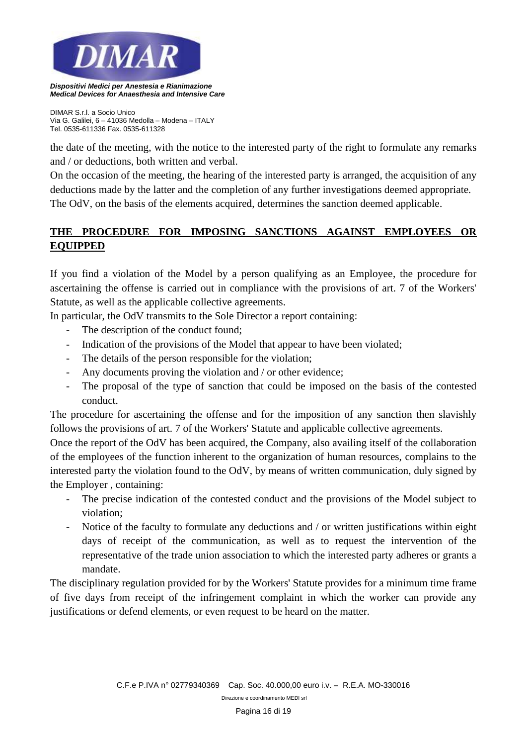

*DIMAR S.r.l. a Socio Unico Via G. Galilei, 6 – 41036 Medolla – Modena – ITALY Tel. 0535-611336 Fax. 0535-611328*

the date of the meeting, with the notice to the interested party of the right to formulate any remarks and / or deductions, both written and verbal.

On the occasion of the meeting, the hearing of the interested party is arranged, the acquisition of any deductions made by the latter and the completion of any further investigations deemed appropriate. The OdV, on the basis of the elements acquired, determines the sanction deemed applicable.

## **THE PROCEDURE FOR IMPOSING SANCTIONS AGAINST EMPLOYEES OR EQUIPPED**

If you find a violation of the Model by a person qualifying as an Employee, the procedure for ascertaining the offense is carried out in compliance with the provisions of art. 7 of the Workers' Statute, as well as the applicable collective agreements.

In particular, the OdV transmits to the Sole Director a report containing:

- The description of the conduct found;
- Indication of the provisions of the Model that appear to have been violated;
- The details of the person responsible for the violation;
- Any documents proving the violation and / or other evidence;
- The proposal of the type of sanction that could be imposed on the basis of the contested conduct.

The procedure for ascertaining the offense and for the imposition of any sanction then slavishly follows the provisions of art. 7 of the Workers' Statute and applicable collective agreements.

Once the report of the OdV has been acquired, the Company, also availing itself of the collaboration of the employees of the function inherent to the organization of human resources, complains to the interested party the violation found to the OdV, by means of written communication, duly signed by the Employer , containing:

- The precise indication of the contested conduct and the provisions of the Model subject to violation;
- Notice of the faculty to formulate any deductions and / or written justifications within eight days of receipt of the communication, as well as to request the intervention of the representative of the trade union association to which the interested party adheres or grants a mandate.

The disciplinary regulation provided for by the Workers' Statute provides for a minimum time frame of five days from receipt of the infringement complaint in which the worker can provide any justifications or defend elements, or even request to be heard on the matter.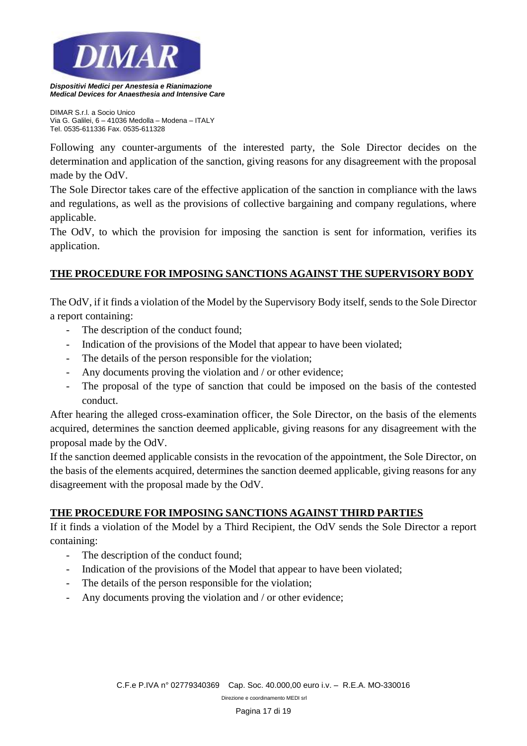

*DIMAR S.r.l. a Socio Unico Via G. Galilei, 6 – 41036 Medolla – Modena – ITALY Tel. 0535-611336 Fax. 0535-611328*

Following any counter-arguments of the interested party, the Sole Director decides on the determination and application of the sanction, giving reasons for any disagreement with the proposal made by the OdV.

The Sole Director takes care of the effective application of the sanction in compliance with the laws and regulations, as well as the provisions of collective bargaining and company regulations, where applicable.

The OdV, to which the provision for imposing the sanction is sent for information, verifies its application.

# **THE PROCEDURE FOR IMPOSING SANCTIONS AGAINST THE SUPERVISORY BODY**

The OdV, if it finds a violation of the Model by the Supervisory Body itself, sends to the Sole Director a report containing:

- The description of the conduct found;
- Indication of the provisions of the Model that appear to have been violated;
- The details of the person responsible for the violation;
- Any documents proving the violation and / or other evidence;
- The proposal of the type of sanction that could be imposed on the basis of the contested conduct.

After hearing the alleged cross-examination officer, the Sole Director, on the basis of the elements acquired, determines the sanction deemed applicable, giving reasons for any disagreement with the proposal made by the OdV.

If the sanction deemed applicable consists in the revocation of the appointment, the Sole Director, on the basis of the elements acquired, determines the sanction deemed applicable, giving reasons for any disagreement with the proposal made by the OdV.

#### **THE PROCEDURE FOR IMPOSING SANCTIONS AGAINST THIRD PARTIES**

If it finds a violation of the Model by a Third Recipient, the OdV sends the Sole Director a report containing:

- The description of the conduct found;
- Indication of the provisions of the Model that appear to have been violated;
- The details of the person responsible for the violation;
- Any documents proving the violation and / or other evidence;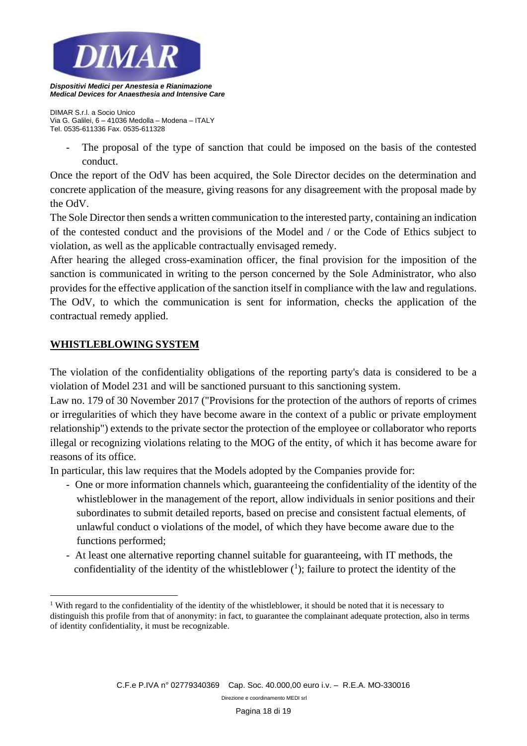

*DIMAR S.r.l. a Socio Unico Via G. Galilei, 6 – 41036 Medolla – Modena – ITALY Tel. 0535-611336 Fax. 0535-611328*

The proposal of the type of sanction that could be imposed on the basis of the contested conduct.

Once the report of the OdV has been acquired, the Sole Director decides on the determination and concrete application of the measure, giving reasons for any disagreement with the proposal made by the OdV.

The Sole Director then sends a written communication to the interested party, containing an indication of the contested conduct and the provisions of the Model and / or the Code of Ethics subject to violation, as well as the applicable contractually envisaged remedy.

After hearing the alleged cross-examination officer, the final provision for the imposition of the sanction is communicated in writing to the person concerned by the Sole Administrator, who also provides for the effective application of the sanction itself in compliance with the law and regulations. The OdV, to which the communication is sent for information, checks the application of the contractual remedy applied.

#### **WHISTLEBLOWING SYSTEM**

The violation of the confidentiality obligations of the reporting party's data is considered to be a violation of Model 231 and will be sanctioned pursuant to this sanctioning system.

Law no. 179 of 30 November 2017 ("Provisions for the protection of the authors of reports of crimes or irregularities of which they have become aware in the context of a public or private employment relationship") extends to the private sector the protection of the employee or collaborator who reports illegal or recognizing violations relating to the MOG of the entity, of which it has become aware for reasons of its office.

In particular, this law requires that the Models adopted by the Companies provide for:

- One or more information channels which, guaranteeing the confidentiality of the identity of the whistleblower in the management of the report, allow individuals in senior positions and their subordinates to submit detailed reports, based on precise and consistent factual elements, of unlawful conduct o violations of the model, of which they have become aware due to the functions performed;
- At least one alternative reporting channel suitable for guaranteeing, with IT methods, the confidentiality of the identity of the whistleblower  $(1)$ ; failure to protect the identity of the

<sup>&</sup>lt;sup>1</sup> With regard to the confidentiality of the identity of the whistleblower, it should be noted that it is necessary to distinguish this profile from that of anonymity: in fact, to guarantee the complainant adequate protection, also in terms of identity confidentiality, it must be recognizable.